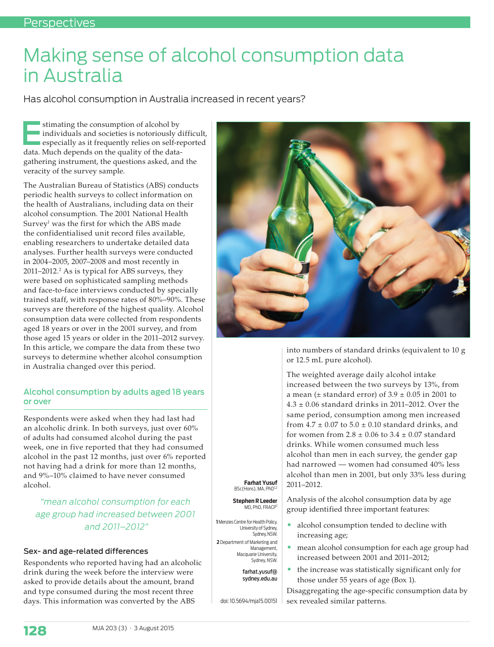# Making sense of alcohol consumption data in Australia

Has alcohol consumption in Australia increased in recent years?

stimating the consumption of alcohol by<br>
individuals and societies is notoriously difficult,<br>
especially as it frequently relies on self-reported<br>
the Much depends on the public of the data individuals and societies is notoriously difficult, data. Much depends on the quality of the datagathering instrument, the questions asked, and the veracity of the survey sample.

The Australian Bureau of Statistics (ABS) conducts periodic health surveys to collect information on the health of Australians, including data on their alcohol consumption. The 2001 National Health Survey $^{\rm l}$  was the first for which the ABS made the confidentialised unit record files available, enabling researchers to undertake detailed data analyses. Further health surveys were conducted in 2004–2005, 2007–2008 and most recently in 2011–2012.<sup>2</sup> As is typical for ABS surveys, they were based on sophisticated sampling methods and face-to-face interviews conducted by specially trained staff, with response rates of 80%–90%. These surveys are therefore of the highest quality. Alcohol consumption data were collected from respondents aged 18 years or over in the 2001 survey, and from those aged 15 years or older in the 2011–2012 survey. In this article, we compare the data from these two surveys to determine whether alcohol consumption in Australia changed over this period.

## Alcohol consumption by adults aged 18 years or over

Respondents were asked when they had last had an alcoholic drink. In both surveys, just over 60% of adults had consumed alcohol during the past week, one in five reported that they had consumed alcohol in the past 12 months, just over 6% reported not having had a drink for more than 12 months, and 9%–10% claimed to have never consumed alcohol.

## *"mean alcohol consumption for each age group had increased between 2001 and 2011–2012"*

### Sex- and age-related differences

Respondents who reported having had an alcoholic drink during the week before the interview were asked to provide details about the amount, brand and type consumed during the most recent three days. This information was converted by the ABS



into numbers of standard drinks (equivalent to 10 g or 12.5 mL pure alcohol).

The weighted average daily alcohol intake increased between the two surveys by 13%, from a mean ( $\pm$  standard error) of 3.9  $\pm$  0.05 in 2001 to  $4.3 \pm 0.06$  standard drinks in 2011–2012. Over the same period, consumption among men increased from  $4.7 \pm 0.07$  to  $5.0 \pm 0.10$  standard drinks, and for women from  $2.8 \pm 0.06$  to  $3.4 \pm 0.07$  standard drinks. While women consumed much less alcohol than men in each survey, the gender gap had narrowed — women had consumed 40% less alcohol than men in 2001, but only 33% less during 2011–2012.

**Farhat Yusuf**  BSc(Hons), MA, PhD<sup>1,2</sup>

**Stephen R Leeder** MD, PhD, FRACP

**1** Menzies Centre for Health Policy, University of Sydney, Sydney, NSW.

**2** Department of Marketing and Management, Macquarie University, Sydney, NSW.

> farhat.yusuf@ sydney.edu.au

doi: 10.5694/mja15.00151

Analysis of the alcohol consumption data by age group identified three important features:

- alcohol consumption tended to decline with increasing age;
- mean alcohol consumption for each age group had increased between 2001 and 2011–2012;
- the increase was statistically significant only for those under 55 years of age (Box 1).

Disaggregating the age-specific consumption data by sex revealed similar patterns.

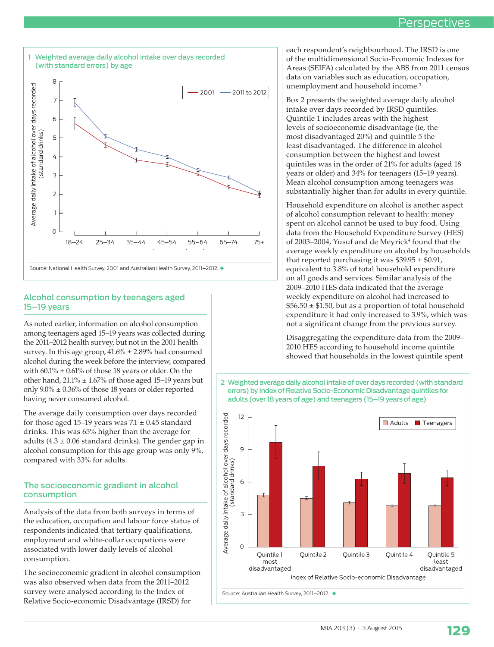## Perspectives



## Alcohol consumption by teenagers aged 15–19 years

As noted earlier, information on alcohol consumption among teenagers aged 15–19 years was collected during the 2011–2012 health survey, but not in the 2001 health survey. In this age group,  $41.6\% \pm 2.89\%$  had consumed alcohol during the week before the interview, compared with  $60.1\% \pm 0.61\%$  of those 18 years or older. On the other hand,  $21.1\% \pm 1.67\%$  of those aged 15–19 years but only  $9.0\% \pm 0.36\%$  of those 18 years or older reported having never consumed alcohol.

The average daily consumption over days recorded for those aged 15–19 years was  $7.1 \pm 0.45$  standard drinks. This was 65% higher than the average for adults (4.3  $\pm$  0.06 standard drinks). The gender gap in alcohol consumption for this age group was only 9%, compared with 33% for adults.

## The socioeconomic gradient in alcohol consumption

Analysis of the data from both surveys in terms of the education, occupation and labour force status of respondents indicated that tertiary qualifications, employment and white-collar occupations were associated with lower daily levels of alcohol consumption.

The socioeconomic gradient in alcohol consumption was also observed when data from the 2011–2012 survey were analysed according to the Index of Relative Socio-economic Disadvantage (IRSD) for

each respondent's neighbourhood. The IRSD is one of the multidimensional Socio-Economic Indexes for Areas (SEIFA) calculated by the ABS from 2011 census data on variables such as education, occupation, unemployment and household income.<sup>3</sup>

Box 2 presents the weighted average daily alcohol intake over days recorded by IRSD quintiles. Quintile 1 includes areas with the highest levels of socioeconomic disadvantage (ie, the most disadvantaged 20%) and quintile 5 the least disadvantaged. The difference in alcohol consumption between the highest and lowest quintiles was in the order of 21% for adults (aged 18 years or older) and 34% for teenagers (15–19 years). Mean alcohol consumption among teenagers was substantially higher than for adults in every quintile.

Household expenditure on alcohol is another aspect of alcohol consumption relevant to health: money spent on alcohol cannot be used to buy food. Using data from the Household Expenditure Survey (HES) of 2003–2004, Yusuf and de Meyrick<sup>4</sup> found that the average weekly expenditure on alcohol by households that reported purchasing it was  $$39.95 \pm $0.91$ , equivalent to 3.8% of total household expenditure on all goods and services. Similar analysis of the 2009–2010 HES data indicated that the average weekly expenditure on alcohol had increased to  $$56.50 \pm $1.50$ , but as a proportion of total household expenditure it had only increased to 3.9%, which was not a significant change from the previous survey.

Disaggregating the expenditure data from the 2009– 2010 HES according to household income quintile showed that households in the lowest quintile spent



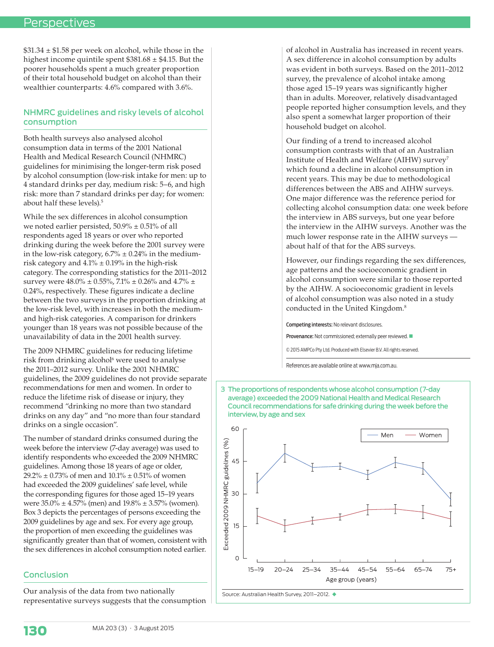$$31.34 \pm $1.58$  per week on alcohol, while those in the highest income quintile spent  $$381.68 \pm $4.15$ . But the poorer households spent a much greater proportion of their total household budget on alcohol than their wealthier counterparts: 4.6% compared with 3.6%.

## NHMRC guidelines and risky levels of alcohol consumption

Both health surveys also analysed alcohol consumption data in terms of the 2001 National Health and Medical Research Council (NHMRC) guidelines for minimising the longer-term risk posed by alcohol consumption (low-risk intake for men: up to 4 standard drinks per day, medium risk: 5–6, and high risk: more than 7 standard drinks per day; for women: about half these levels).<sup>5</sup>

While the sex differences in alcohol consumption we noted earlier persisted, 50.9% ± 0.51% of all respondents aged 18 years or over who reported drinking during the week before the 2001 survey were in the low-risk category,  $6.7\% \pm 0.24\%$  in the mediumrisk category and  $4.1\% \pm 0.19\%$  in the high-risk category. The corresponding statistics for the 2011–2012 survey were  $48.0\% \pm 0.55\%$ ,  $7.1\% \pm 0.26\%$  and  $4.7\% \pm$ 0.24%, respectively. These figures indicate a decline between the two surveys in the proportion drinking at the low-risk level, with increases in both the mediumand high-risk categories. A comparison for drinkers younger than 18 years was not possible because of the unavailability of data in the 2001 health survey.

The 2009 NHMRC guidelines for reducing lifetime risk from drinking alcohol<sup>6</sup> were used to analyse the 2011–2012 survey. Unlike the 2001 NHMRC guidelines, the 2009 guidelines do not provide separate recommendations for men and women. In order to reduce the lifetime risk of disease or injury, they recommend "drinking no more than two standard drinks on any day" and "no more than four standard drinks on a single occasion".

The number of standard drinks consumed during the week before the interview (7-day average) was used to identify respondents who exceeded the 2009 NHMRC guidelines. Among those 18 years of age or older, 29.2%  $\pm$  0.73% of men and 10.1%  $\pm$  0.51% of women had exceeded the 2009 guidelines' safe level, while the corresponding figures for those aged 15–19 years were 35.0% ± 4.57% (men) and 19.8% ± 3.57% (women). Box 3 depicts the percentages of persons exceeding the 2009 guidelines by age and sex. For every age group, the proportion of men exceeding the guidelines was significantly greater than that of women, consistent with the sex differences in alcohol consumption noted earlier.

### Conclusion

Our analysis of the data from two nationally representative surveys suggests that the consumption

of alcohol in Australia has increased in recent years. A sex difference in alcohol consumption by adults was evident in both surveys. Based on the 2011–2012 survey, the prevalence of alcohol intake among those aged 15–19 years was significantly higher than in adults. Moreover, relatively disadvantaged people reported higher consumption levels, and they also spent a somewhat larger proportion of their household budget on alcohol.

Our finding of a trend to increased alcohol consumption contrasts with that of an Australian Institute of Health and Welfare (AIHW) survey7 which found a decline in alcohol consumption in recent years. This may be due to methodological differences between the ABS and AIHW surveys. One major difference was the reference period for collecting alcohol consumption data: one week before the interview in ABS surveys, but one year before the interview in the AIHW surveys. Another was the much lower response rate in the AIHW surveys about half of that for the ABS surveys.

However, our findings regarding the sex differences, age patterns and the socioeconomic gradient in alcohol consumption were similar to those reported by the AIHW. A socioeconomic gradient in levels of alcohol consumption was also noted in a study conducted in the United Kingdom.8

Competing interests: No relevant disclosures.

Provenance: Not commissioned; externally peer reviewed.

© 2015 AMPCo Pty Ltd. Produced with Elsevier B.V. All rights reserved.

References are available online at www.mja.com.au.